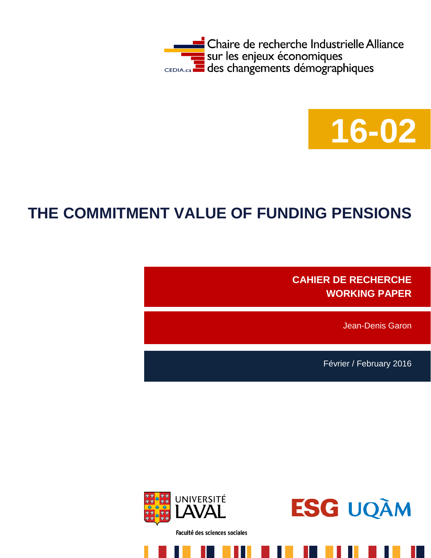



# **THE COMMITMENT VALUE OF FUNDING PENSIONS**

**CAHIER DE RECHERCHE WORKING PAPER**

Jean-Denis Garon

Février / February 2016



Faculté des sciences sociales

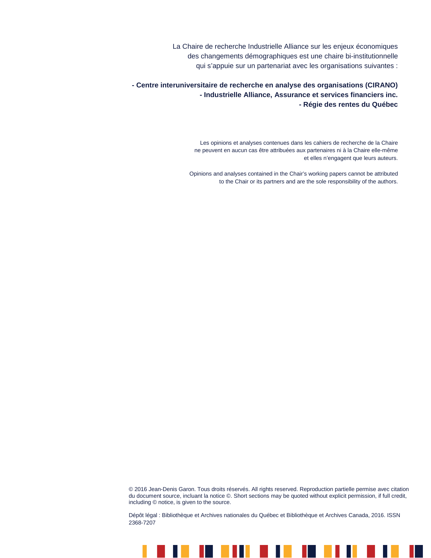La Chaire de recherche Industrielle Alliance sur les enjeux économiques des changements démographiques est une chaire bi-institutionnelle qui s'appuie sur un partenariat avec les organisations suivantes :

**- Centre interuniversitaire de recherche en analyse des organisations (CIRANO) - Industrielle Alliance, Assurance et services financiers inc. - Régie des rentes du Québec**

> Les opinions et analyses contenues dans les cahiers de recherche de la Chaire ne peuvent en aucun cas être attribuées aux partenaires ni à la Chaire elle-même et elles n'engagent que leurs auteurs.

Opinions and analyses contained in the Chair's working papers cannot be attributed to the Chair or its partners and are the sole responsibility of the authors.

© 2016 Jean-Denis Garon. Tous droits réservés. All rights reserved. Reproduction partielle permise avec citation du document source, incluant la notice ©. Short sections may be quoted without explicit permission, if full credit, including © notice, is given to the source.

Dépôt légal : Bibliothèque et Archives nationales du Québec et Bibliothèque et Archives Canada, 2016. ISSN 2368-7207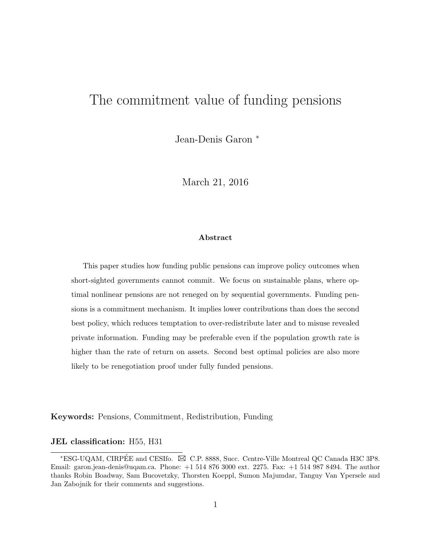# The commitment value of funding pensions

Jean-Denis Garon <sup>∗</sup>

March 21, 2016

#### Abstract

This paper studies how funding public pensions can improve policy outcomes when short-sighted governments cannot commit. We focus on sustainable plans, where optimal nonlinear pensions are not reneged on by sequential governments. Funding pensions is a commitment mechanism. It implies lower contributions than does the second best policy, which reduces temptation to over-redistribute later and to misuse revealed private information. Funding may be preferable even if the population growth rate is higher than the rate of return on assets. Second best optimal policies are also more likely to be renegotiation proof under fully funded pensions.

Keywords: Pensions, Commitment, Redistribution, Funding

#### JEL classification: H55, H31

<sup>\*</sup>ESG-UQAM, CIRPÉE and CESIfo. ⊠ C.P. 8888, Succ. Centre-Ville Montreal QC Canada H3C 3P8. Email: garon.jean-denis@uqam.ca. Phone: +1 514 876 3000 ext. 2275. Fax: +1 514 987 8494. The author thanks Robin Boadway, Sam Bucovetzky, Thorsten Koeppl, Sumon Majumdar, Tanguy Van Ypersele and Jan Zabojnik for their comments and suggestions.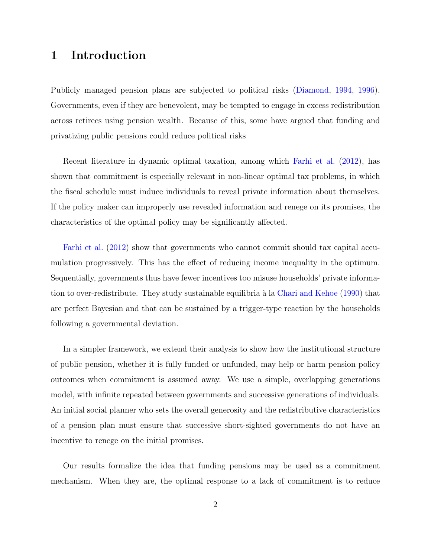# 1 Introduction

Publicly managed pension plans are subjected to political risks [\(Diamond,](#page-13-0) [1994,](#page-13-0) [1996\)](#page-13-1). Governments, even if they are benevolent, may be tempted to engage in excess redistribution across retirees using pension wealth. Because of this, some have argued that funding and privatizing public pensions could reduce political risks

Recent literature in dynamic optimal taxation, among which [Farhi et al.](#page-13-2) [\(2012\)](#page-13-2), has shown that commitment is especially relevant in non-linear optimal tax problems, in which the fiscal schedule must induce individuals to reveal private information about themselves. If the policy maker can improperly use revealed information and renege on its promises, the characteristics of the optimal policy may be significantly affected.

[Farhi et al.](#page-13-2) [\(2012\)](#page-13-2) show that governments who cannot commit should tax capital accumulation progressively. This has the effect of reducing income inequality in the optimum. Sequentially, governments thus have fewer incentives too misuse households' private informa-tion to over-redistribute. They study sustainable equilibria à la [Chari and Kehoe](#page-13-3) [\(1990\)](#page-13-3) that are perfect Bayesian and that can be sustained by a trigger-type reaction by the households following a governmental deviation.

In a simpler framework, we extend their analysis to show how the institutional structure of public pension, whether it is fully funded or unfunded, may help or harm pension policy outcomes when commitment is assumed away. We use a simple, overlapping generations model, with infinite repeated between governments and successive generations of individuals. An initial social planner who sets the overall generosity and the redistributive characteristics of a pension plan must ensure that successive short-sighted governments do not have an incentive to renege on the initial promises.

Our results formalize the idea that funding pensions may be used as a commitment mechanism. When they are, the optimal response to a lack of commitment is to reduce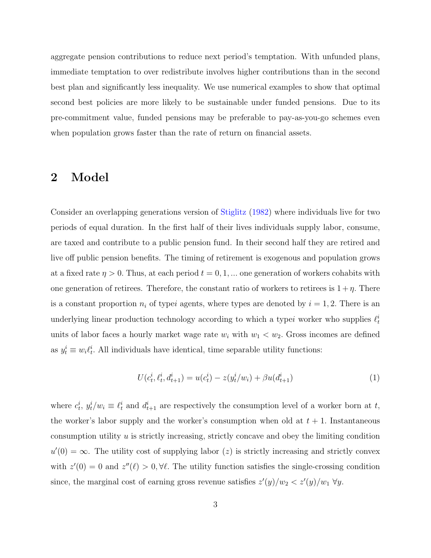aggregate pension contributions to reduce next period's temptation. With unfunded plans, immediate temptation to over redistribute involves higher contributions than in the second best plan and significantly less inequality. We use numerical examples to show that optimal second best policies are more likely to be sustainable under funded pensions. Due to its pre-commitment value, funded pensions may be preferable to pay-as-you-go schemes even when population grows faster than the rate of return on financial assets.

## 2 Model

Consider an overlapping generations version of [Stiglitz](#page-13-4) [\(1982\)](#page-13-4) where individuals live for two periods of equal duration. In the first half of their lives individuals supply labor, consume, are taxed and contribute to a public pension fund. In their second half they are retired and live off public pension benefits. The timing of retirement is exogenous and population grows at a fixed rate  $\eta > 0$ . Thus, at each period  $t = 0, 1, ...$  one generation of workers cohabits with one generation of retirees. Therefore, the constant ratio of workers to retirees is  $1 + \eta$ . There is a constant proportion  $n_i$  of typei agents, where types are denoted by  $i = 1, 2$ . There is an underlying linear production technology according to which a typei worker who supplies  $\ell_t^i$ units of labor faces a hourly market wage rate  $w_i$  with  $w_1 < w_2$ . Gross incomes are defined as  $y_t^i \equiv w_i \ell_t^i$ . All individuals have identical, time separable utility functions:

$$
U(c_t^i, \ell_t^i, d_{t+1}^i) = u(c_t^i) - z(y_t^i/w_i) + \beta u(d_{t+1}^i)
$$
\n(1)

where  $c_t^i$ ,  $y_t^i/w_i \equiv \ell_t^i$  and  $d_{t+1}^i$  are respectively the consumption level of a worker born at t, the worker's labor supply and the worker's consumption when old at  $t + 1$ . Instantaneous consumption utility  $u$  is strictly increasing, strictly concave and obey the limiting condition  $u'(0) = \infty$ . The utility cost of supplying labor (z) is strictly increasing and strictly convex with  $z'(0) = 0$  and  $z''(\ell) > 0, \forall \ell$ . The utility function satisfies the single-crossing condition since, the marginal cost of earning gross revenue satisfies  $z'(y)/w_2 < z'(y)/w_1 \,\forall y$ .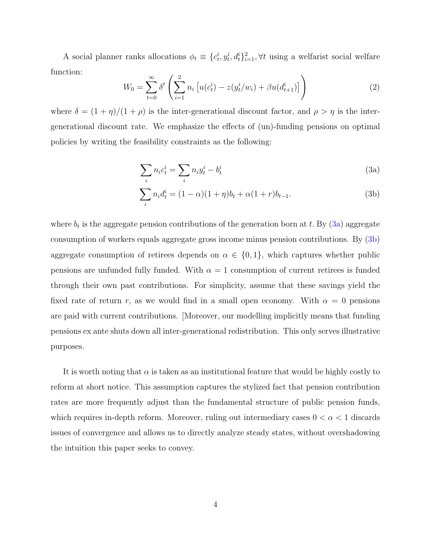A social planner ranks allocations  $\phi_t \equiv \{c_t^i, y_t^i, d_t^i\}_{i=1}^2, \forall t$  using a welfarist social welfare function:

<span id="page-5-2"></span>
$$
W_0 = \sum_{t=0}^{\infty} \delta^t \left( \sum_{i=1}^2 n_i \left[ u(c_t^i) - z(y_t^i/w_i) + \beta u(d_{t+1}^i) \right] \right) \tag{2}
$$

where  $\delta = (1 + \eta)/(1 + \rho)$  is the inter-generational discount factor, and  $\rho > \eta$  is the intergenerational discount rate. We emphasize the effects of (un)-funding pensions on optimal policies by writing the feasibility constraints as the following:

<span id="page-5-1"></span><span id="page-5-0"></span>
$$
\sum_{i} n_i c_t^i = \sum_{i} n_i y_t^i - b_t^i \tag{3a}
$$

$$
\sum_{i} n_i d_t^i = (1 - \alpha)(1 + \eta)b_t + \alpha(1 + r)b_{t-1}.
$$
\n(3b)

where  $b_t$  is the aggregate pension contributions of the generation born at t. By  $(3a)$  aggregate consumption of workers equals aggregate gross income minus pension contributions. By [\(3b\)](#page-5-1) aggregate consumption of retirees depends on  $\alpha \in \{0,1\}$ , which captures whether public pensions are unfunded fully funded. With  $\alpha = 1$  consumption of current retirees is funded through their own past contributions. For simplicity, assume that these savings yield the fixed rate of return r, as we would find in a small open economy. With  $\alpha = 0$  pensions are paid with current contributions. [Moreover, our modelling implicitly means that funding pensions ex ante shuts down all inter-generational redistribution. This only serves illustrative purposes.

It is worth noting that  $\alpha$  is taken as an institutional feature that would be highly costly to reform at short notice. This assumption captures the stylized fact that pension contribution rates are more frequently adjust than the fundamental structure of public pension funds, which requires in-depth reform. Moreover, ruling out intermediary cases  $0 < \alpha < 1$  discards issues of convergence and allows us to directly analyze steady states, without overshadowing the intuition this paper seeks to convey.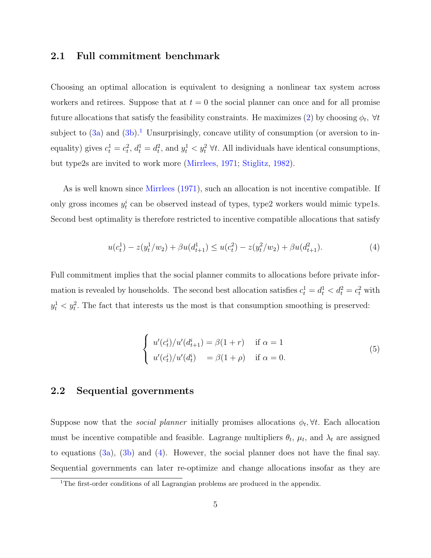## 2.1 Full commitment benchmark

Choosing an optimal allocation is equivalent to designing a nonlinear tax system across workers and retirees. Suppose that at  $t = 0$  the social planner can once and for all promise future allocations that satisfy the feasibility constraints. He maximizes [\(2\)](#page-5-2) by choosing  $\phi_t$ ,  $\forall t$ subject to  $(3a)$  and  $(3b)$ .<sup>[1](#page-6-0)</sup> Unsurprisingly, concave utility of consumption (or aversion to inequality) gives  $c_t^1 = c_t^2$ ,  $d_t^1 = d_t^2$ , and  $y_t^1 < y_t^2$   $\forall t$ . All individuals have identical consumptions, but type2s are invited to work more [\(Mirrlees,](#page-13-5) [1971;](#page-13-5) [Stiglitz,](#page-13-4) [1982\)](#page-13-4).

As is well known since [Mirrlees](#page-13-5) [\(1971\)](#page-13-5), such an allocation is not incentive compatible. If only gross incomes  $y_t^i$  can be observed instead of types, type2 workers would mimic type1s. Second best optimality is therefore restricted to incentive compatible allocations that satisfy

<span id="page-6-1"></span>
$$
u(c_t^1) - z(y_t^1/w_2) + \beta u(d_{t+1}^1) \le u(c_t^2) - z(y_t^2/w_2) + \beta u(d_{t+1}^2). \tag{4}
$$

Full commitment implies that the social planner commits to allocations before private information is revealed by households. The second best allocation satisfies  $c_t^1 = d_t^1 < d_t^2 = c_t^2$  with  $y_t^1 < y_t^2$ . The fact that interests us the most is that consumption smoothing is preserved:

<span id="page-6-2"></span>
$$
\begin{cases}\nu'(c_t^i)/\nu'(d_{t+1}^i) = \beta(1+r) & \text{if } \alpha = 1\\ \nu'(c_t^i)/\nu'(d_t^i) = \beta(1+\rho) & \text{if } \alpha = 0.\end{cases}
$$
\n(5)

## 2.2 Sequential governments

Suppose now that the *social planner* initially promises allocations  $\phi_t$ ,  $\forall t$ . Each allocation must be incentive compatible and feasible. Lagrange multipliers  $\theta_t$ ,  $\mu_t$ , and  $\lambda_t$  are assigned to equations  $(3a)$ ,  $(3b)$  and  $(4)$ . However, the social planner does not have the final say. Sequential governments can later re-optimize and change allocations insofar as they are

<span id="page-6-0"></span><sup>&</sup>lt;sup>1</sup>The first-order conditions of all Lagrangian problems are produced in the appendix.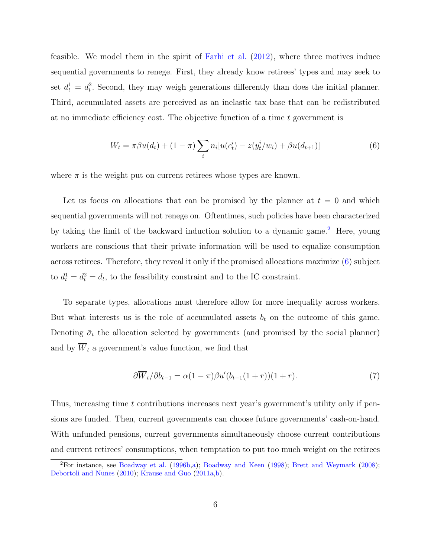feasible. We model them in the spirit of [Farhi et al.](#page-13-2) [\(2012\)](#page-13-2), where three motives induce sequential governments to renege. First, they already know retirees' types and may seek to set  $d_t^1 = d_t^2$ . Second, they may weigh generations differently than does the initial planner. Third, accumulated assets are perceived as an inelastic tax base that can be redistributed at no immediate efficiency cost. The objective function of a time  $t$  government is

<span id="page-7-1"></span>
$$
W_t = \pi \beta u(d_t) + (1 - \pi) \sum_i n_i [u(c_t^i) - z(y_t^i/w_i) + \beta u(d_{t+1})]
$$
\n(6)

where  $\pi$  is the weight put on current retirees whose types are known.

Let us focus on allocations that can be promised by the planner at  $t = 0$  and which sequential governments will not renege on. Oftentimes, such policies have been characterized by taking the limit of the backward induction solution to a dynamic game.[2](#page-7-0) Here, young workers are conscious that their private information will be used to equalize consumption across retirees. Therefore, they reveal it only if the promised allocations maximize [\(6\)](#page-7-1) subject to  $d_t^1 = d_t^2 = d_t$ , to the feasibility constraint and to the IC constraint.

To separate types, allocations must therefore allow for more inequality across workers. But what interests us is the role of accumulated assets  $b_t$  on the outcome of this game. Denoting  $\bar{\sigma}_t$  the allocation selected by governments (and promised by the social planner) and by  $\overline{W}_t$  a government's value function, we find that

$$
\partial \overline{W}_t / \partial b_{t-1} = \alpha (1 - \pi) \beta u' (b_{t-1} (1+r)) (1+r). \tag{7}
$$

Thus, increasing time t contributions increases next year's government's utility only if pensions are funded. Then, current governments can choose future governments' cash-on-hand. With unfunded pensions, current governments simultaneously choose current contributions and current retirees' consumptions, when temptation to put too much weight on the retirees

<span id="page-7-0"></span> ${}^{2}$ For instance, see [Boadway et al.](#page-12-0) [\(1996b](#page-12-0)[,a\)](#page-12-1); [Boadway and Keen](#page-12-2) [\(1998\)](#page-12-2); [Brett and Weymark](#page-12-3) [\(2008\)](#page-12-3); [Debortoli and Nunes](#page-13-6) [\(2010\)](#page-13-6); [Krause and Guo](#page-13-7) [\(2011a](#page-13-7)[,b\)](#page-13-8).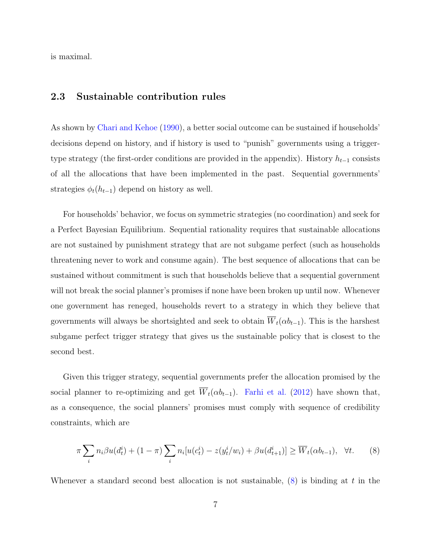is maximal.

#### 2.3 Sustainable contribution rules

As shown by [Chari and Kehoe](#page-13-3) [\(1990\)](#page-13-3), a better social outcome can be sustained if households' decisions depend on history, and if history is used to "punish" governments using a triggertype strategy (the first-order conditions are provided in the appendix). History  $h_{t-1}$  consists of all the allocations that have been implemented in the past. Sequential governments' strategies  $\phi_t(h_{t-1})$  depend on history as well.

For households' behavior, we focus on symmetric strategies (no coordination) and seek for a Perfect Bayesian Equilibrium. Sequential rationality requires that sustainable allocations are not sustained by punishment strategy that are not subgame perfect (such as households threatening never to work and consume again). The best sequence of allocations that can be sustained without commitment is such that households believe that a sequential government will not break the social planner's promises if none have been broken up until now. Whenever one government has reneged, households revert to a strategy in which they believe that governments will always be shortsighted and seek to obtain  $\overline{W}_{t}(\alpha b_{t-1})$ . This is the harshest subgame perfect trigger strategy that gives us the sustainable policy that is closest to the second best.

Given this trigger strategy, sequential governments prefer the allocation promised by the social planner to re-optimizing and get  $\overline{W}_t(\alpha b_{t-1})$ . [Farhi et al.](#page-13-2) [\(2012\)](#page-13-2) have shown that, as a consequence, the social planners' promises must comply with sequence of credibility constraints, which are

<span id="page-8-0"></span>
$$
\pi \sum_{i} n_i \beta u(d_t^i) + (1 - \pi) \sum_{i} n_i [u(c_t^i) - z(y_t^i/w_i) + \beta u(d_{t+1}^i)] \ge \overline{W}_t(\alpha b_{t-1}), \quad \forall t. \tag{8}
$$

Whenever a standard second best allocation is not sustainable,  $(8)$  is binding at t in the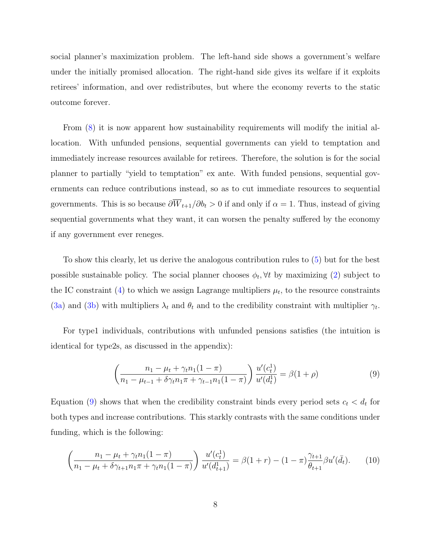social planner's maximization problem. The left-hand side shows a government's welfare under the initially promised allocation. The right-hand side gives its welfare if it exploits retirees' information, and over redistributes, but where the economy reverts to the static outcome forever.

From [\(8\)](#page-8-0) it is now apparent how sustainability requirements will modify the initial allocation. With unfunded pensions, sequential governments can yield to temptation and immediately increase resources available for retirees. Therefore, the solution is for the social planner to partially "yield to temptation" ex ante. With funded pensions, sequential governments can reduce contributions instead, so as to cut immediate resources to sequential governments. This is so because  $\partial \overline{W}_{t+1}/\partial b_t > 0$  if and only if  $\alpha = 1$ . Thus, instead of giving sequential governments what they want, it can worsen the penalty suffered by the economy if any government ever reneges.

To show this clearly, let us derive the analogous contribution rules to [\(5\)](#page-6-2) but for the best possible sustainable policy. The social planner chooses  $\phi_t$ ,  $\forall t$  by maximizing [\(2\)](#page-5-2) subject to the IC constraint [\(4\)](#page-6-1) to which we assign Lagrange multipliers  $\mu_t$ , to the resource constraints [\(3a\)](#page-5-0) and [\(3b\)](#page-5-1) with multipliers  $\lambda_t$  and  $\theta_t$  and to the credibility constraint with multiplier  $\gamma_t$ .

For type1 individuals, contributions with unfunded pensions satisfies (the intuition is identical for type2s, as discussed in the appendix):

<span id="page-9-0"></span>
$$
\left(\frac{n_1 - \mu_t + \gamma_t n_1 (1 - \pi)}{n_1 - \mu_{t-1} + \delta \gamma_t n_1 \pi + \gamma_{t-1} n_1 (1 - \pi)}\right) \frac{u'(c_t^1)}{u'(d_t^1)} = \beta(1 + \rho) \tag{9}
$$

Equation [\(9\)](#page-9-0) shows that when the credibility constraint binds every period sets  $c_t < d_t$  for both types and increase contributions. This starkly contrasts with the same conditions under funding, which is the following:

$$
\left(\frac{n_1 - \mu_t + \gamma_t n_1 (1 - \pi)}{n_1 - \mu_t + \delta \gamma_{t+1} n_1 \pi + \gamma_t n_1 (1 - \pi)}\right) \frac{u'(c_t^1)}{u'(d_{t+1}^1)} = \beta(1 + r) - (1 - \pi) \frac{\gamma_{t+1}}{\theta_{t+1}} \beta u'(\bar{d}_t). \tag{10}
$$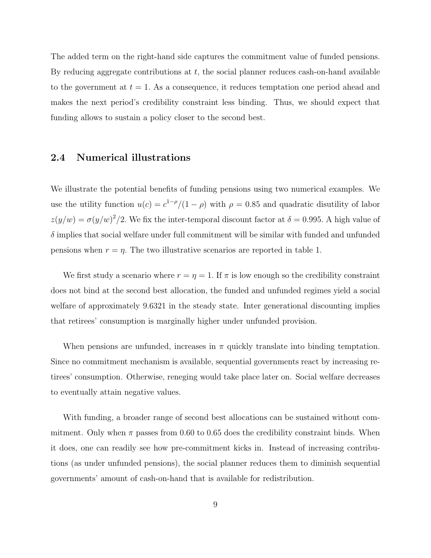The added term on the right-hand side captures the commitment value of funded pensions. By reducing aggregate contributions at  $t$ , the social planner reduces cash-on-hand available to the government at  $t = 1$ . As a consequence, it reduces temptation one period ahead and makes the next period's credibility constraint less binding. Thus, we should expect that funding allows to sustain a policy closer to the second best.

## 2.4 Numerical illustrations

We illustrate the potential benefits of funding pensions using two numerical examples. We use the utility function  $u(c) = c^{1-\rho}/(1-\rho)$  with  $\rho = 0.85$  and quadratic disutility of labor  $z(y/w) = \sigma(y/w)^2/2$ . We fix the inter-temporal discount factor at  $\delta = 0.995$ . A high value of  $\delta$  implies that social welfare under full commitment will be similar with funded and unfunded pensions when  $r = \eta$ . The two illustrative scenarios are reported in table 1.

We first study a scenario where  $r = \eta = 1$ . If  $\pi$  is low enough so the credibility constraint does not bind at the second best allocation, the funded and unfunded regimes yield a social welfare of approximately 9.6321 in the steady state. Inter generational discounting implies that retirees' consumption is marginally higher under unfunded provision.

When pensions are unfunded, increases in  $\pi$  quickly translate into binding temptation. Since no commitment mechanism is available, sequential governments react by increasing retirees' consumption. Otherwise, reneging would take place later on. Social welfare decreases to eventually attain negative values.

With funding, a broader range of second best allocations can be sustained without commitment. Only when  $\pi$  passes from 0.60 to 0.65 does the credibility constraint binds. When it does, one can readily see how pre-commitment kicks in. Instead of increasing contributions (as under unfunded pensions), the social planner reduces them to diminish sequential governments' amount of cash-on-hand that is available for redistribution.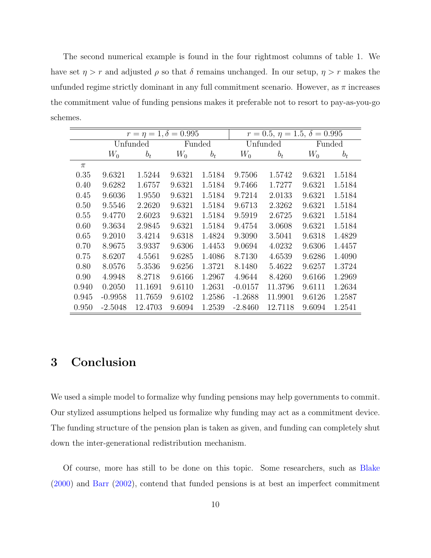The second numerical example is found in the four rightmost columns of table 1. We have set  $\eta > r$  and adjusted  $\rho$  so that  $\delta$  remains unchanged. In our setup,  $\eta > r$  makes the unfunded regime strictly dominant in any full commitment scenario. However, as  $\pi$  increases the commitment value of funding pensions makes it preferable not to resort to pay-as-you-go schemes.

|       | $r = \eta = 1, \delta = 0.995$ |         |        |        | $r = 0.5, \eta = 1.5, \delta = 0.995$ |         |        |        |
|-------|--------------------------------|---------|--------|--------|---------------------------------------|---------|--------|--------|
|       | Unfunded                       |         | Funded |        | Unfunded                              |         | Funded |        |
|       | $W_0$                          | $b_t$   | $W_0$  | $b_t$  | $W_0$                                 | $b_t$   | $W_0$  | $b_t$  |
| $\pi$ |                                |         |        |        |                                       |         |        |        |
| 0.35  | 9.6321                         | 1.5244  | 9.6321 | 1.5184 | 9.7506                                | 1.5742  | 9.6321 | 1.5184 |
| 0.40  | 9.6282                         | 1.6757  | 9.6321 | 1.5184 | 9.7466                                | 1.7277  | 9.6321 | 1.5184 |
| 0.45  | 9.6036                         | 1.9550  | 9.6321 | 1.5184 | 9.7214                                | 2.0133  | 9.6321 | 1.5184 |
| 0.50  | 9.5546                         | 2.2620  | 9.6321 | 1.5184 | 9.6713                                | 2.3262  | 9.6321 | 1.5184 |
| 0.55  | 9.4770                         | 2.6023  | 9.6321 | 1.5184 | 9.5919                                | 2.6725  | 9.6321 | 1.5184 |
| 0.60  | 9.3634                         | 2.9845  | 9.6321 | 1.5184 | 9.4754                                | 3.0608  | 9.6321 | 1.5184 |
| 0.65  | 9.2010                         | 3.4214  | 9.6318 | 1.4824 | 9.3090                                | 3.5041  | 9.6318 | 1.4829 |
| 0.70  | 8.9675                         | 3.9337  | 9.6306 | 1.4453 | 9.0694                                | 4.0232  | 9.6306 | 1.4457 |
| 0.75  | 8.6207                         | 4.5561  | 9.6285 | 1.4086 | 8.7130                                | 4.6539  | 9.6286 | 1.4090 |
| 0.80  | 8.0576                         | 5.3536  | 9.6256 | 1.3721 | 8.1480                                | 5.4622  | 9.6257 | 1.3724 |
| 0.90  | 4.9948                         | 8.2718  | 9.6166 | 1.2967 | 4.9644                                | 8.4260  | 9.6166 | 1.2969 |
| 0.940 | 0.2050                         | 11.1691 | 9.6110 | 1.2631 | $-0.0157$                             | 11.3796 | 9.6111 | 1.2634 |
| 0.945 | $-0.9958$                      | 11.7659 | 9.6102 | 1.2586 | $-1.2688$                             | 11.9901 | 9.6126 | 1.2587 |
| 0.950 | $-2.5048$                      | 12.4703 | 9.6094 | 1.2539 | $-2.8460$                             | 12.7118 | 9.6094 | 1.2541 |

# 3 Conclusion

We used a simple model to formalize why funding pensions may help governments to commit. Our stylized assumptions helped us formalize why funding may act as a commitment device. The funding structure of the pension plan is taken as given, and funding can completely shut down the inter-generational redistribution mechanism.

Of course, more has still to be done on this topic. Some researchers, such as [Blake](#page-12-4) [\(2000\)](#page-12-4) and [Barr](#page-12-5) [\(2002\)](#page-12-5), contend that funded pensions is at best an imperfect commitment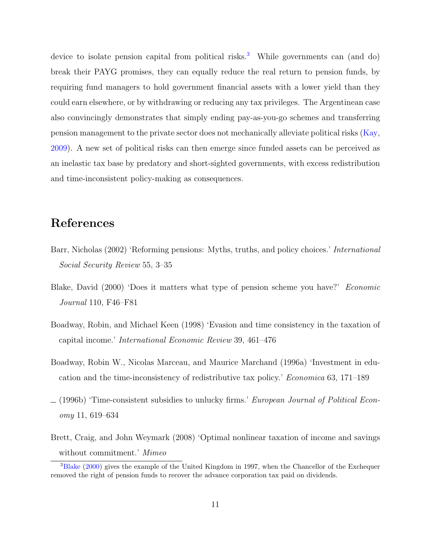device to isolate pension capital from political risks.<sup>[3](#page-12-6)</sup> While governments can (and do) break their PAYG promises, they can equally reduce the real return to pension funds, by requiring fund managers to hold government financial assets with a lower yield than they could earn elsewhere, or by withdrawing or reducing any tax privileges. The Argentinean case also convincingly demonstrates that simply ending pay-as-you-go schemes and transferring pension management to the private sector does not mechanically alleviate political risks [\(Kay,](#page-13-9) [2009\)](#page-13-9). A new set of political risks can then emerge since funded assets can be perceived as an inelastic tax base by predatory and short-sighted governments, with excess redistribution and time-inconsistent policy-making as consequences.

# References

- <span id="page-12-5"></span>Barr, Nicholas (2002) 'Reforming pensions: Myths, truths, and policy choices.' *International* Social Security Review 55, 3–35
- <span id="page-12-4"></span>Blake, David (2000) 'Does it matters what type of pension scheme you have?' Economic Journal 110, F46–F81
- <span id="page-12-2"></span>Boadway, Robin, and Michael Keen (1998) 'Evasion and time consistency in the taxation of capital income.' International Economic Review 39, 461–476
- <span id="page-12-1"></span>Boadway, Robin W., Nicolas Marceau, and Maurice Marchand (1996a) 'Investment in education and the time-inconsistency of redistributive tax policy.' Economica 63, 171–189
- <span id="page-12-0"></span> $(1996b)$  Time-consistent subsidies to unlucky firms.' European Journal of Political Economy 11, 619–634
- <span id="page-12-3"></span>Brett, Craig, and John Weymark (2008) 'Optimal nonlinear taxation of income and savings without commitment.' Mimeo

<span id="page-12-6"></span><sup>&</sup>lt;sup>3</sup>[Blake](#page-12-4) [\(2000\)](#page-12-4) gives the example of the United Kingdom in 1997, when the Chancellor of the Exchequer removed the right of pension funds to recover the advance corporation tax paid on dividends.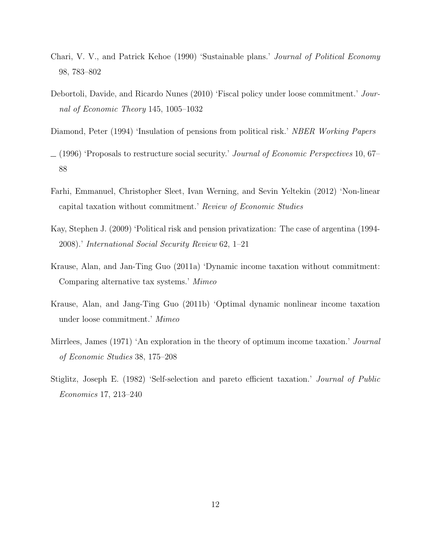- <span id="page-13-3"></span>Chari, V. V., and Patrick Kehoe (1990) 'Sustainable plans.' Journal of Political Economy 98, 783–802
- <span id="page-13-6"></span>Debortoli, Davide, and Ricardo Nunes (2010) 'Fiscal policy under loose commitment.' Journal of Economic Theory 145, 1005–1032
- <span id="page-13-0"></span>Diamond, Peter (1994) 'Insulation of pensions from political risk.' NBER Working Papers
- <span id="page-13-1"></span> $(1996)$  'Proposals to restructure social security.' Journal of Economic Perspectives 10, 67– 88
- <span id="page-13-2"></span>Farhi, Emmanuel, Christopher Sleet, Ivan Werning, and Sevin Yeltekin (2012) 'Non-linear capital taxation without commitment.' Review of Economic Studies
- <span id="page-13-9"></span>Kay, Stephen J. (2009) 'Political risk and pension privatization: The case of argentina (1994- 2008).' International Social Security Review 62, 1–21
- <span id="page-13-7"></span>Krause, Alan, and Jan-Ting Guo (2011a) 'Dynamic income taxation without commitment: Comparing alternative tax systems.' Mimeo
- <span id="page-13-8"></span>Krause, Alan, and Jang-Ting Guo (2011b) 'Optimal dynamic nonlinear income taxation under loose commitment.' Mimeo
- <span id="page-13-5"></span>Mirrlees, James (1971) 'An exploration in the theory of optimum income taxation.' Journal of Economic Studies 38, 175–208
- <span id="page-13-4"></span>Stiglitz, Joseph E. (1982) 'Self-selection and pareto efficient taxation.' Journal of Public Economics 17, 213–240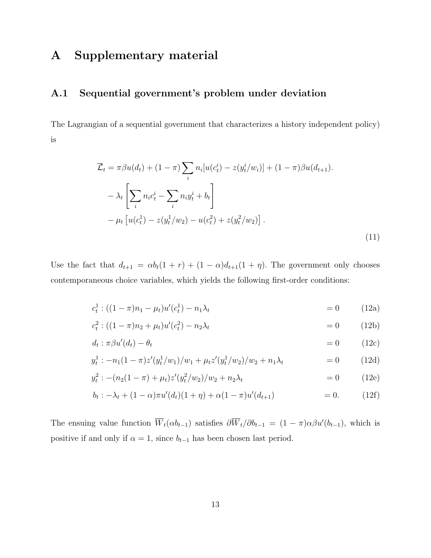# A Supplementary material

## A.1 Sequential government's problem under deviation

The Lagrangian of a sequential government that characterizes a history independent policy) is

$$
\overline{\mathcal{L}}_t = \pi \beta u(d_t) + (1 - \pi) \sum_i n_i [u(c_t^i) - z(y_t^i/w_i)] + (1 - \pi) \beta u(d_{t+1}).
$$
  

$$
- \lambda_t \left[ \sum_i n_i c_t^i - \sum_i n_i y_t^i + b_t \right]
$$
  

$$
- \mu_t \left[ u(c_t^1) - z(y_t^1/w_2) - u(c_t^2) + z(y_t^2/w_2) \right].
$$
 (11)

Use the fact that  $d_{t+1} = \alpha b_t(1 + r) + (1 - \alpha)d_{t+1}(1 + \eta)$ . The government only chooses contemporaneous choice variables, which yields the following first-order conditions:

$$
c_t^1:((1 - \pi)n_1 - \mu_t)u'(c_t^1) - n_1\lambda_t = 0 \qquad (12a)
$$

$$
c_t^2 : ((1 - \pi)n_2 + \mu_t)u'(c_t^2) - n_2\lambda_t = 0 \qquad (12b)
$$

$$
d_t : \pi \beta u'(d_t) - \theta_t \tag{12c}
$$

$$
y_t^1: -n_1(1-\pi)z'(y_t^1/w_1)/w_1 + \mu_t z'(y_t^1/w_2)/w_2 + n_1\lambda_t = 0 \qquad (12d)
$$

$$
y_t^2 : -(n_2(1-\pi) + \mu_t)z'(y_t^2/w_2)/w_2 + n_2\lambda_t = 0 \qquad (12e)
$$

$$
b_t: -\lambda_t + (1 - \alpha)\pi u'(d_t)(1 + \eta) + \alpha(1 - \pi)u'(d_{t+1}) = 0.
$$
 (12f)

The ensuing value function  $\overline{W}_t(\alpha b_{t-1})$  satisfies  $\partial \overline{W}_t/\partial b_{t-1} = (1 - \pi)\alpha \beta u'(b_{t-1})$ , which is positive if and only if  $\alpha = 1$ , since  $b_{t-1}$  has been chosen last period.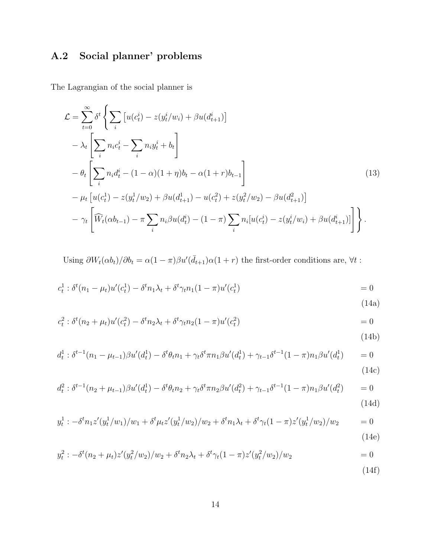# A.2 Social planner' problems

The Lagrangian of the social planner is

$$
\mathcal{L} = \sum_{t=0}^{\infty} \delta^t \left\{ \sum_i \left[ u(c_t^i) - z(y_t^i/w_i) + \beta u(d_{t+1}^i) \right] - \lambda_t \left[ \sum_i n_i c_t^i - \sum_i n_i y_t^i + b_t \right] - \theta_t \left[ \sum_i n_i d_t^i - (1 - \alpha)(1 + \eta)b_t - \alpha(1 + r)b_{t-1} \right] - \mu_t \left[ u(c_t^1) - z(y_t^1/w_2) + \beta u(d_{t+1}^1) - u(c_t^2) + z(y_t^2/w_2) - \beta u(d_{t+1}^2) \right] - \gamma_t \left[ \widehat{W}_t(\alpha b_{t-1}) - \pi \sum_i n_i \beta u(d_t^i) - (1 - \pi) \sum_i n_i [u(c_t^i) - z(y_t^i/w_i) + \beta u(d_{t+1}^i)] \right] \right\}.
$$
\n(13)

Using  $\partial W_t(\alpha b_t)/\partial b_t = \alpha(1-\pi)\beta u'(\bar{d}_{t+1})\alpha(1+r)$  the first-order conditions are,  $\forall t$ :

$$
c_t^1 : \delta^t (n_1 - \mu_t) u'(c_t^1) - \delta^t n_1 \lambda_t + \delta^t \gamma_t n_1 (1 - \pi) u'(c_t^1) = 0
$$

<span id="page-15-0"></span>(14a)

$$
c_t^2 : \delta^t (n_2 + \mu_t) u'(c_t^2) - \delta^t n_2 \lambda_t + \delta^t \gamma_t n_2 (1 - \pi) u'(c_t^2) = 0
$$

<span id="page-15-1"></span>(14b)

$$
d_t^1 : \delta^{t-1}(n_1 - \mu_{t-1})\beta u'(d_t^1) - \delta^t \theta_t n_1 + \gamma_t \delta^t \pi n_1 \beta u'(d_t^1) + \gamma_{t-1} \delta^{t-1} (1 - \pi) n_1 \beta u'(d_t^1) = 0
$$
\n(14c)

$$
d_t^2 : \delta^{t-1}(n_2 + \mu_{t-1})\beta u'(d_t^1) - \delta^t \theta_t n_2 + \gamma_t \delta^t \pi n_2 \beta u'(d_t^2) + \gamma_{t-1} \delta^{t-1} (1-\pi) n_1 \beta u'(d_t^2) = 0
$$
\n(1.1)

(14d)

$$
y_t^1: -\delta^t n_1 z'(y_t^1/w_1)/w_1 + \delta^t \mu_t z'(y_t^1/w_2)/w_2 + \delta^t n_1 \lambda_t + \delta^t \gamma_t (1-\pi) z'(y_t^1/w_2)/w_2 = 0
$$
\n(14e)

$$
y_t^2: -\delta^t (n_2 + \mu_t) z'(y_t^2/w_2)/w_2 + \delta^t n_2 \lambda_t + \delta^t \gamma_t (1 - \pi) z'(y_t^2/w_2)/w_2 = 0
$$

(14f)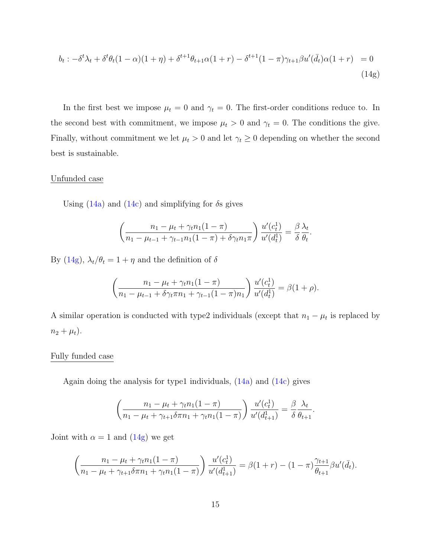$$
b_t: -\delta^t \lambda_t + \delta^t \theta_t (1 - \alpha)(1 + \eta) + \delta^{t+1} \theta_{t+1} \alpha (1 + r) - \delta^{t+1} (1 - \pi) \gamma_{t+1} \beta u'(\bar{d}_t) \alpha (1 + r) = 0
$$
\n(14g)

In the first best we impose  $\mu_t = 0$  and  $\gamma_t = 0$ . The first-order conditions reduce to. In the second best with commitment, we impose  $\mu_t > 0$  and  $\gamma_t = 0$ . The conditions the give. Finally, without commitment we let  $\mu_t > 0$  and let  $\gamma_t \geq 0$  depending on whether the second best is sustainable.

#### Unfunded case

Using  $(14a)$  and  $(14c)$  and simplifying for  $\delta s$  gives

<span id="page-16-0"></span>
$$
\left(\frac{n_1 - \mu_t + \gamma_t n_1 (1 - \pi)}{n_1 - \mu_{t-1} + \gamma_{t-1} n_1 (1 - \pi) + \delta \gamma_t n_1 \pi}\right) \frac{u'(c_t^1)}{u'(d_t^1)} = \frac{\beta}{\delta} \frac{\lambda_t}{\theta_t}.
$$

By [\(14g\)](#page-16-0),  $\lambda_t/\theta_t = 1 + \eta$  and the definition of  $\delta$ 

$$
\left(\frac{n_1 - \mu_t + \gamma_t n_1 (1 - \pi)}{n_1 - \mu_{t-1} + \delta \gamma_t \pi n_1 + \gamma_{t-1} (1 - \pi) n_1}\right) \frac{u'(c_t^1)}{u'(d_t^1)} = \beta(1 + \rho).
$$

A similar operation is conducted with type2 individuals (except that  $n_1 - \mu_t$  is replaced by  $n_2 + \mu_t$ ).

#### Fully funded case

Again doing the analysis for type1 individuals,  $(14a)$  and  $(14c)$  gives

$$
\left(\frac{n_1 - \mu_t + \gamma_t n_1 (1 - \pi)}{n_1 - \mu_t + \gamma_{t+1} \delta \pi n_1 + \gamma_t n_1 (1 - \pi)}\right) \frac{u'(c_t^1)}{u'(d_{t+1}^1)} = \frac{\beta}{\delta} \frac{\lambda_t}{\theta_{t+1}}
$$

.

Joint with  $\alpha = 1$  and  $(14g)$  we get

$$
\left(\frac{n_1 - \mu_t + \gamma_t n_1 (1 - \pi)}{n_1 - \mu_t + \gamma_{t+1} \delta \pi n_1 + \gamma_t n_1 (1 - \pi)}\right) \frac{u'(c_t^1)}{u'(d_{t+1}^1)} = \beta(1 + r) - (1 - \pi) \frac{\gamma_{t+1}}{\theta_{t+1}} \beta u'(\bar{d}_t).
$$